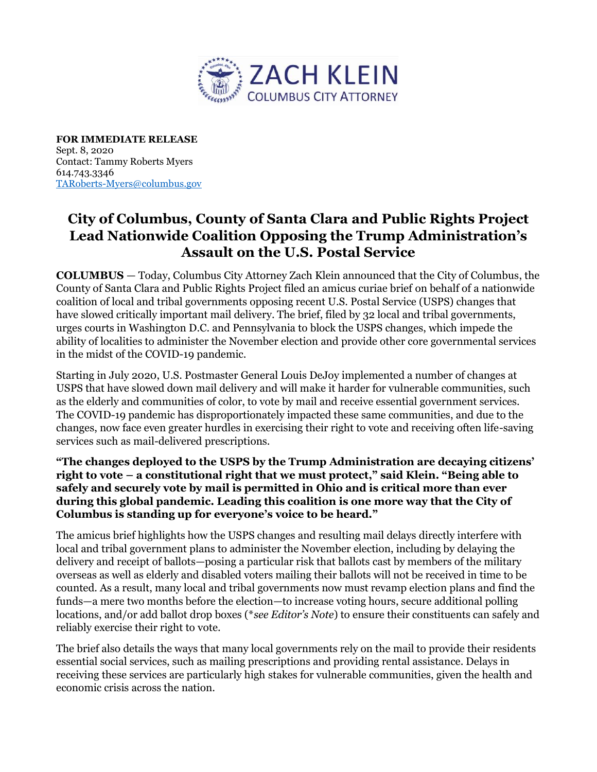

**FOR IMMEDIATE RELEASE**  Sept. 8, 2020 Contact: Tammy Roberts Myers 614.743.3346 [TARoberts-Myers@columbus.gov](mailto:TARoberts-Myers@columbus.gov)

## **City of Columbus, County of Santa Clara and Public Rights Project Lead Nationwide Coalition Opposing the Trump Administration's Assault on the U.S. Postal Service**

**COLUMBUS** — Today, Columbus City Attorney Zach Klein announced that the City of Columbus, the County of Santa Clara and Public Rights Project filed an amicus curiae brief on behalf of a nationwide coalition of local and tribal governments opposing recent U.S. Postal Service (USPS) changes that have slowed critically important mail delivery. The brief, filed by 32 local and tribal governments, urges courts in Washington D.C. and Pennsylvania to block the USPS changes, which impede the ability of localities to administer the November election and provide other core governmental services in the midst of the COVID-19 pandemic.

Starting in July 2020, U.S. Postmaster General Louis DeJoy implemented a number of changes at USPS that have slowed down mail delivery and will make it harder for vulnerable communities, such as the elderly and communities of color, to vote by mail and receive essential government services. The COVID-19 pandemic has disproportionately impacted these same communities, and due to the changes, now face even greater hurdles in exercising their right to vote and receiving often life-saving services such as mail-delivered prescriptions.

**"The changes deployed to the USPS by the Trump Administration are decaying citizens' right to vote – a constitutional right that we must protect," said Klein. "Being able to safely and securely vote by mail is permitted in Ohio and is critical more than ever during this global pandemic. Leading this coalition is one more way that the City of Columbus is standing up for everyone's voice to be heard."** 

The amicus brief highlights how the USPS changes and resulting mail delays directly interfere with local and tribal government plans to administer the November election, including by delaying the delivery and receipt of ballots—posing a particular risk that ballots cast by members of the military overseas as well as elderly and disabled voters mailing their ballots will not be received in time to be counted. As a result, many local and tribal governments now must revamp election plans and find the funds—a mere two months before the election—to increase voting hours, secure additional polling locations, and/or add ballot drop boxes (\**see Editor's Note*) to ensure their constituents can safely and reliably exercise their right to vote.

The brief also details the ways that many local governments rely on the mail to provide their residents essential social services, such as mailing prescriptions and providing rental assistance. Delays in receiving these services are particularly high stakes for vulnerable communities, given the health and economic crisis across the nation.